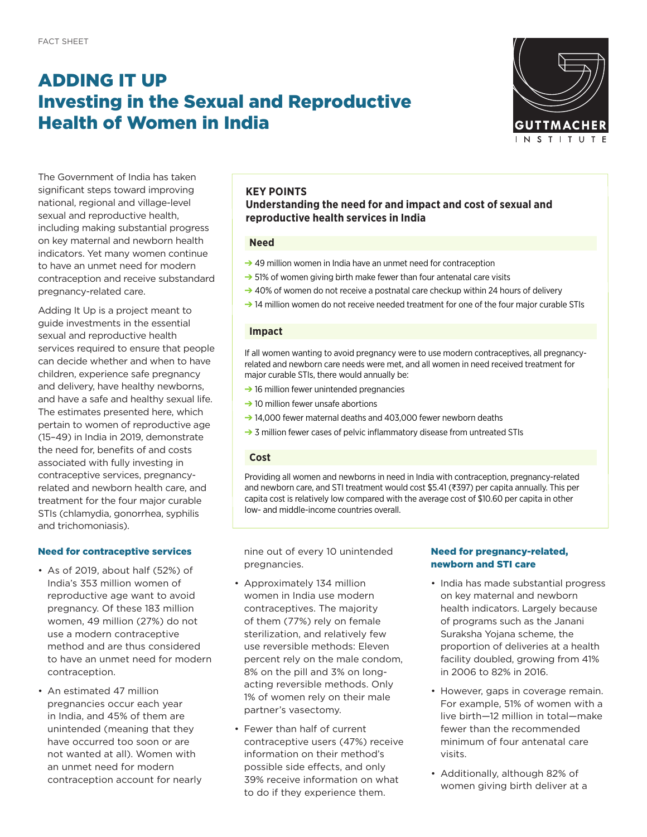# ADDING IT UP Investing in the Sexual and Reproductive Health of Women in India



The Government of India has taken significant steps toward improving national, regional and village-level sexual and reproductive health, including making substantial progress on key maternal and newborn health indicators. Yet many women continue to have an unmet need for modern contraception and receive substandard pregnancy-related care.

Adding It Up is a project meant to guide investments in the essential sexual and reproductive health services required to ensure that people can decide whether and when to have children, experience safe pregnancy and delivery, have healthy newborns, and have a safe and healthy sexual life. The estimates presented here, which pertain to women of reproductive age (15–49) in India in 2019, demonstrate the need for, benefits of and costs associated with fully investing in contraceptive services, pregnancyrelated and newborn health care, and treatment for the four major curable STIs (chlamydia, gonorrhea, syphilis and trichomoniasis).

### Need for contraceptive services

- As of 2019, about half (52%) of India's 353 million women of reproductive age want to avoid pregnancy. Of these 183 million women, 49 million (27%) do not use a modern contraceptive method and are thus considered to have an unmet need for modern contraception.
- An estimated 47 million pregnancies occur each year in India, and 45% of them are unintended (meaning that they have occurred too soon or are not wanted at all). Women with an unmet need for modern contraception account for nearly

## **KEY POINTS**

### **Understanding the need for and impact and cost of sexual and reproductive health services in India**

### **Need**

- → 49 million women in India have an unmet need for contraception
- $\rightarrow$  51% of women giving birth make fewer than four antenatal care visits
- → 40% of women do not receive a postnatal care checkup within 24 hours of delivery
- $\rightarrow$  14 million women do not receive needed treatment for one of the four major curable STIs

#### **Impact**

If all women wanting to avoid pregnancy were to use modern contraceptives, all pregnancyrelated and newborn care needs were met, and all women in need received treatment for major curable STIs, there would annually be:

- $\rightarrow$  16 million fewer unintended pregnancies
- $\rightarrow$  10 million fewer unsafe abortions
- ➔ 14,000 fewer maternal deaths and 403,000 fewer newborn deaths
- → 3 million fewer cases of pelvic inflammatory disease from untreated STIs

#### **Cost**

Providing all women and newborns in need in India with contraception, pregnancy-related and newborn care, and STI treatment would cost \$5.41 (₹397) per capita annually. This per capita cost is relatively low compared with the average cost of \$10.60 per capita in other low- and middle-income countries overall.

nine out of every 10 unintended pregnancies.

- Approximately 134 million women in India use modern contraceptives. The majority of them (77%) rely on female sterilization, and relatively few use reversible methods: Eleven percent rely on the male condom, 8% on the pill and 3% on longacting reversible methods. Only 1% of women rely on their male partner's vasectomy.
- Fewer than half of current contraceptive users (47%) receive information on their method's possible side effects, and only 39% receive information on what to do if they experience them.

### Need for pregnancy-related, newborn and STI care

- India has made substantial progress on key maternal and newborn health indicators. Largely because of programs such as the Janani Suraksha Yojana scheme, the proportion of deliveries at a health facility doubled, growing from 41% in 2006 to 82% in 2016.
- However, gaps in coverage remain. For example, 51% of women with a live birth—12 million in total—make fewer than the recommended minimum of four antenatal care visits.
- Additionally, although 82% of women giving birth deliver at a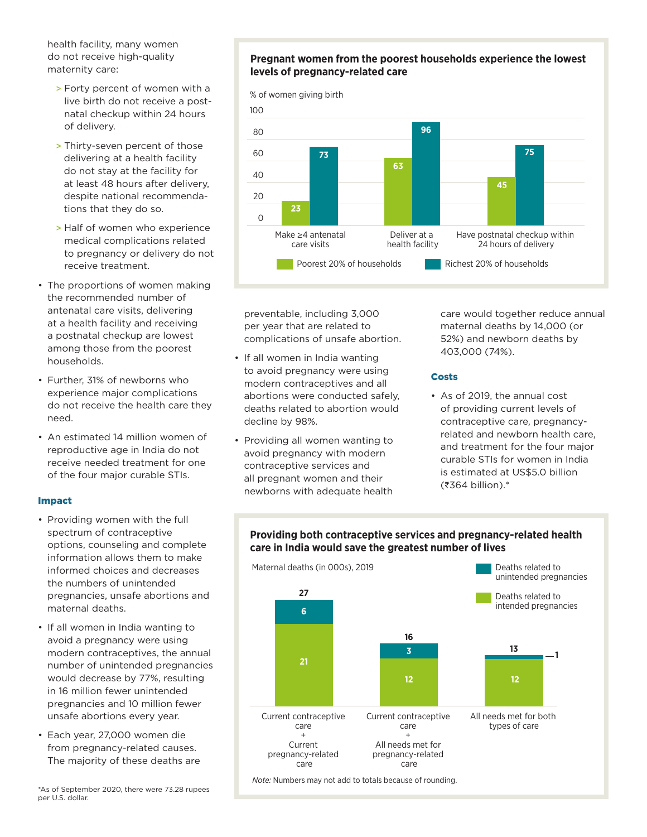health facility, many women do not receive high-quality maternity care:

- > Forty percent of women with a live birth do not receive a postnatal checkup within 24 hours of delivery.
- > Thirty-seven percent of those delivering at a health facility do not stay at the facility for at least 48 hours after delivery, despite national recommendations that they do so.
- > Half of women who experience medical complications related to pregnancy or delivery do not receive treatment.
- The proportions of women making the recommended number of antenatal care visits, delivering at a health facility and receiving a postnatal checkup are lowest among those from the poorest households.
- Further, 31% of newborns who experience major complications do not receive the health care they need.
- An estimated 14 million women of reproductive age in India do not receive needed treatment for one of the four major curable STIs.

### Impact

- Providing women with the full spectrum of contraceptive options, counseling and complete information allows them to make informed choices and decreases the numbers of unintended pregnancies, unsafe abortions and maternal deaths.
- If all women in India wanting to avoid a pregnancy were using modern contraceptives, the annual number of unintended pregnancies would decrease by 77%, resulting in 16 million fewer unintended pregnancies and 10 million fewer unsafe abortions every year.
- Each year, 27,000 women die from pregnancy-related causes. The majority of these deaths are

### **Pregnant women from the poorest households experience the lowest levels of pregnancy-related care**



preventable, including 3,000 per year that are related to complications of unsafe abortion.

- If all women in India wanting **96** to avoid pregnancy were using modern contraceptives and all abortions were conducted safely, 60 **73** deaths related to abortion would **63** decline by 98%.
- Providing all women wanting to avoid pregnancy with modern contraceptive services and all pregnant women and their **23** newborns with adequate health 0

care would together reduce annual maternal deaths by 14,000 (or 52%) and newborn deaths by 403,000 (74%).

### Costs

• As of 2019, the annual cost **75** of providing current levels of contraceptive care, pregnancyrelated and newborn health care, and treatment for the four major curable STIs for women in India is estimated at US\$5.0 billion (₹364 billion).\*

# Providing both contraceptive services and pregnancy-related health **care in India would save the greatest number of lives**

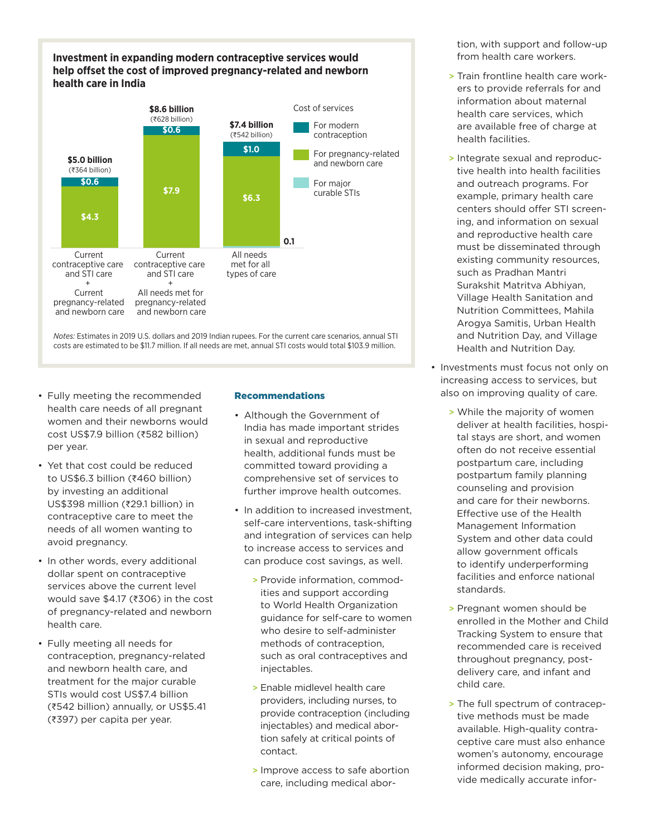### **Investment in expanding modern contraceptive services would help offset the cost of improved pregnancy-related and newborn health care in India**



*Notes:* Estimates in 2019 U.S. dollars and 2019 Indian rupees. For the current care scenarios, annual STI costs are estimated to be \$11.7 million. If all needs are met, annual STI costs would total \$103.9 million.

- Fully meeting the recommended health care needs of all pregnant women and their newborns would cost US\$7.9 billion (₹582 billion) per year.
- Yet that cost could be reduced to US\$6.3 billion (₹460 billion) by investing an additional US\$398 million (₹29.1 billion) in contraceptive care to meet the needs of all women wanting to avoid pregnancy.
- In other words, every additional dollar spent on contraceptive services above the current level would save \$4.17 (₹306) in the cost of pregnancy-related and newborn health care.
- Fully meeting all needs for contraception, pregnancy-related and newborn health care, and treatment for the major curable STIs would cost US\$7.4 billion (₹542 billion) annually, or US\$5.41 (₹397) per capita per year.

### Recommendations

- Although the Government of India has made important strides in sexual and reproductive health, additional funds must be committed toward providing a comprehensive set of services to further improve health outcomes.
- In addition to increased investment, self-care interventions, task-shifting and integration of services can help to increase access to services and can produce cost savings, as well.
	- > Provide information, commodities and support according to World Health Organization guidance for self-care to women who desire to self-administer methods of contraception, such as oral contraceptives and injectables.
	- > Enable midlevel health care providers, including nurses, to provide contraception (including injectables) and medical abortion safely at critical points of contact.
	- > Improve access to safe abortion care, including medical abor-

tion, with support and follow-up from health care workers.

- > Train frontline health care workers to provide referrals for and information about maternal health care services, which are available free of charge at health facilities.
- > Integrate sexual and reproductive health into health facilities and outreach programs. For example, primary health care centers should offer STI screening, and information on sexual and reproductive health care must be disseminated through existing community resources, such as Pradhan Mantri Surakshit Matritva Abhiyan, Village Health Sanitation and Nutrition Committees, Mahila Arogya Samitis, Urban Health and Nutrition Day, and Village Health and Nutrition Day.
- Investments must focus not only on increasing access to services, but also on improving quality of care.
	- > While the majority of women deliver at health facilities, hospital stays are short, and women often do not receive essential postpartum care, including postpartum family planning counseling and provision and care for their newborns. Effective use of the Health Management Information System and other data could allow government officals to identify underperforming facilities and enforce national standards.
	- > Pregnant women should be enrolled in the Mother and Child Tracking System to ensure that recommended care is received throughout pregnancy, postdelivery care, and infant and child care.
	- > The full spectrum of contraceptive methods must be made available. High-quality contraceptive care must also enhance women's autonomy, encourage informed decision making, provide medically accurate infor-